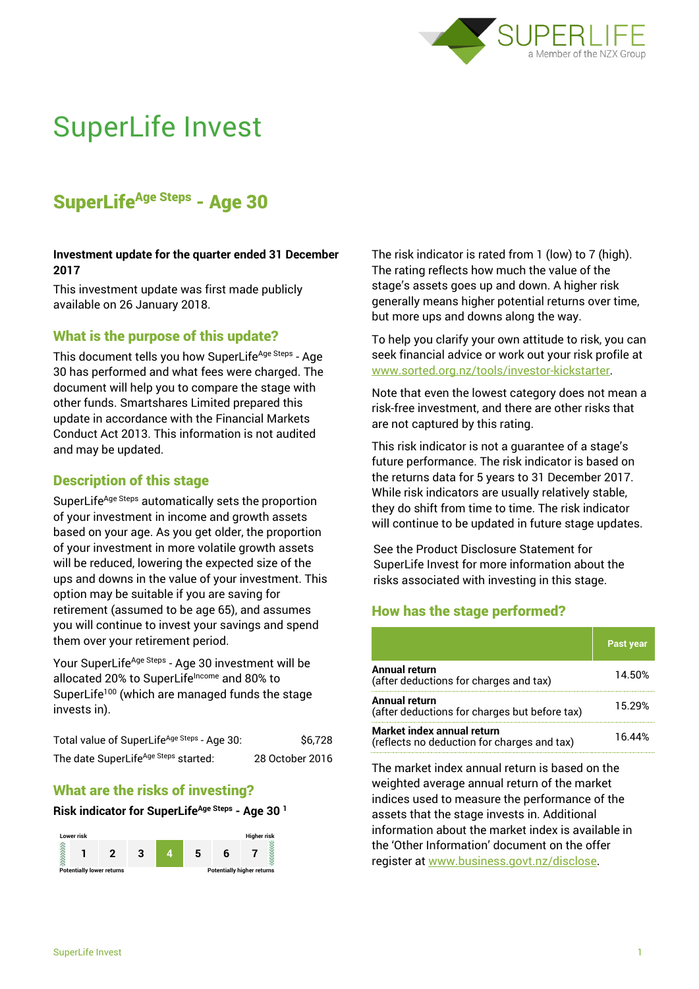

# SuperLife Invest

# SuperLife<sup>Age Steps</sup> - Age 30

#### **Investment update for the quarter ended 31 December 2017**

This investment update was first made publicly available on 26 January 2018.

# What is the purpose of this update?

This document tells you how SuperLife<sup>Age Steps</sup> - Age 30 has performed and what fees were charged. The document will help you to compare the stage with other funds. Smartshares Limited prepared this update in accordance with the Financial Markets Conduct Act 2013. This information is not audited and may be updated.

# Description of this stage

SuperLife<sup>Age Steps</sup> automatically sets the proportion of your investment in income and growth assets based on your age. As you get older, the proportion of your investment in more volatile growth assets will be reduced, lowering the expected size of the ups and downs in the value of your investment. This option may be suitable if you are saving for retirement (assumed to be age 65), and assumes you will continue to invest your savings and spend them over your retirement period.

Your SuperLife<sup>Age Steps</sup> - Age 30 investment will be allocated 20% to SuperLifeIncome and 80% to SuperLife<sup>100</sup> (which are managed funds the stage invests in).

| Total value of SuperLife <sup>Age Steps</sup> - Age 30: | \$6.728         |
|---------------------------------------------------------|-----------------|
| The date SuperLife <sup>Age Steps</sup> started:        | 28 October 2016 |

# What are the risks of investing?

#### **Risk indicator for SuperLifeAge Steps - Age 30 <sup>1</sup>**



The risk indicator is rated from 1 (low) to 7 (high). The rating reflects how much the value of the stage's assets goes up and down. A higher risk generally means higher potential returns over time, but more ups and downs along the way.

To help you clarify your own attitude to risk, you can seek financial advice or work out your risk profile at [www.sorted.org.nz/tools/investor-kickstarter.](http://www.sorted.org.nz/tools/investor-kickstarter)

Note that even the lowest category does not mean a risk-free investment, and there are other risks that are not captured by this rating.

This risk indicator is not a guarantee of a stage's future performance. The risk indicator is based on the returns data for 5 years to 31 December 2017. While risk indicators are usually relatively stable, they do shift from time to time. The risk indicator will continue to be updated in future stage updates.

See the Product Disclosure Statement for SuperLife Invest for more information about the risks associated with investing in this stage.

# How has the stage performed?

|                                                                           | <b>Past year</b> |
|---------------------------------------------------------------------------|------------------|
| <b>Annual return</b><br>(after deductions for charges and tax)            | 14.50%           |
| Annual return<br>(after deductions for charges but before tax)            | 15.29%           |
| Market index annual return<br>(reflects no deduction for charges and tax) | 16 44%           |

The market index annual return is based on the weighted average annual return of the market indices used to measure the performance of the assets that the stage invests in. Additional information about the market index is available in the 'Other Information' document on the offer register at www.business.govt.nz/disclose.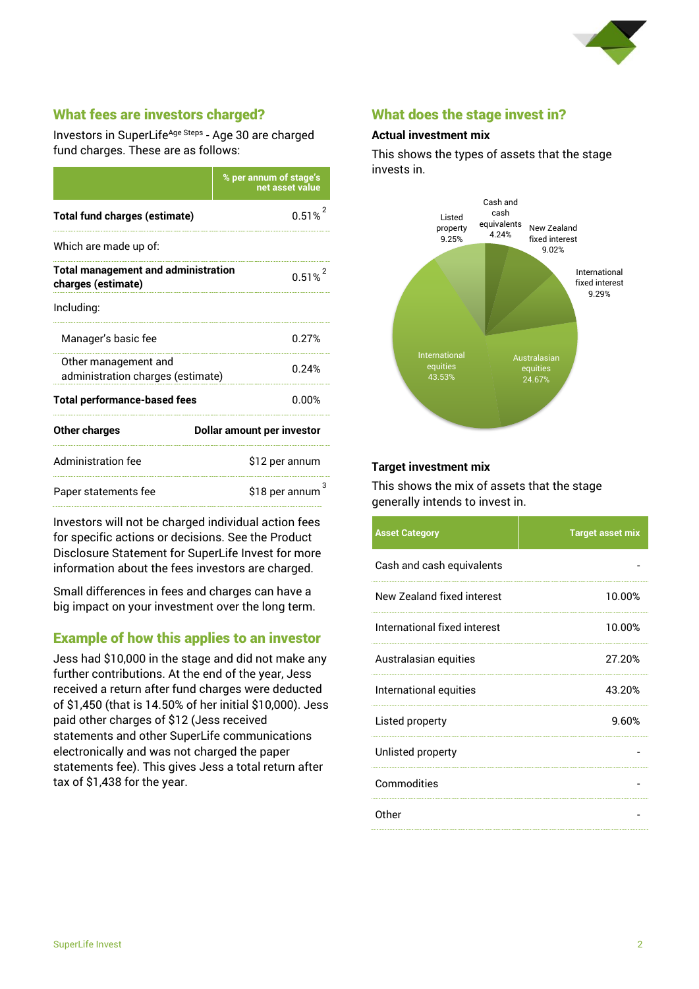

# What fees are investors charged?

Investors in SuperLife<sup>Age Steps</sup> - Age 30 are charged fund charges. These are as follows:

|                                                                  | % per annum of stage's<br>net asset value |
|------------------------------------------------------------------|-------------------------------------------|
| <b>Total fund charges (estimate)</b>                             | 0.51%                                     |
| Which are made up of:                                            |                                           |
| <b>Total management and administration</b><br>charges (estimate) | $0.51\%$ <sup>2</sup>                     |
| Including:                                                       |                                           |
| Manager's basic fee                                              | 0.27%                                     |
| Other management and<br>administration charges (estimate)        | 0.24%                                     |
| <b>Total performance-based fees</b>                              | 0.00%                                     |
| <b>Other charges</b>                                             | Dollar amount per investor                |
| <b>Administration fee</b>                                        | \$12 per annum                            |
| Paper statements fee                                             | 3<br>\$18 per annum                       |

Investors will not be charged individual action fees for specific actions or decisions. See the Product Disclosure Statement for SuperLife Invest for more information about the fees investors are charged.

Small differences in fees and charges can have a big impact on your investment over the long term.

#### Example of how this applies to an investor

Jess had \$10,000 in the stage and did not make any further contributions. At the end of the year, Jess received a return after fund charges were deducted of \$1,450 (that is 14.50% of her initial \$10,000). Jess paid other charges of \$12 (Jess received statements and other SuperLife communications electronically and was not charged the paper statements fee). This gives Jess a total return after tax of \$1,438 for the year.

#### What does the stage invest in?

#### **Actual investment mix**

This shows the types of assets that the stage invests in.



#### **Target investment mix**

This shows the mix of assets that the stage generally intends to invest in.

| <b>Asset Category</b>        | <b>Target asset mix</b> |
|------------------------------|-------------------------|
| Cash and cash equivalents    |                         |
| New Zealand fixed interest   | 10.00%                  |
| International fixed interest | 10.00%                  |
| Australasian equities        | 27.20%                  |
| International equities       | 43.20%                  |
| Listed property              | 9.60%                   |
| Unlisted property            |                         |
| Commodities                  |                         |
| Other                        |                         |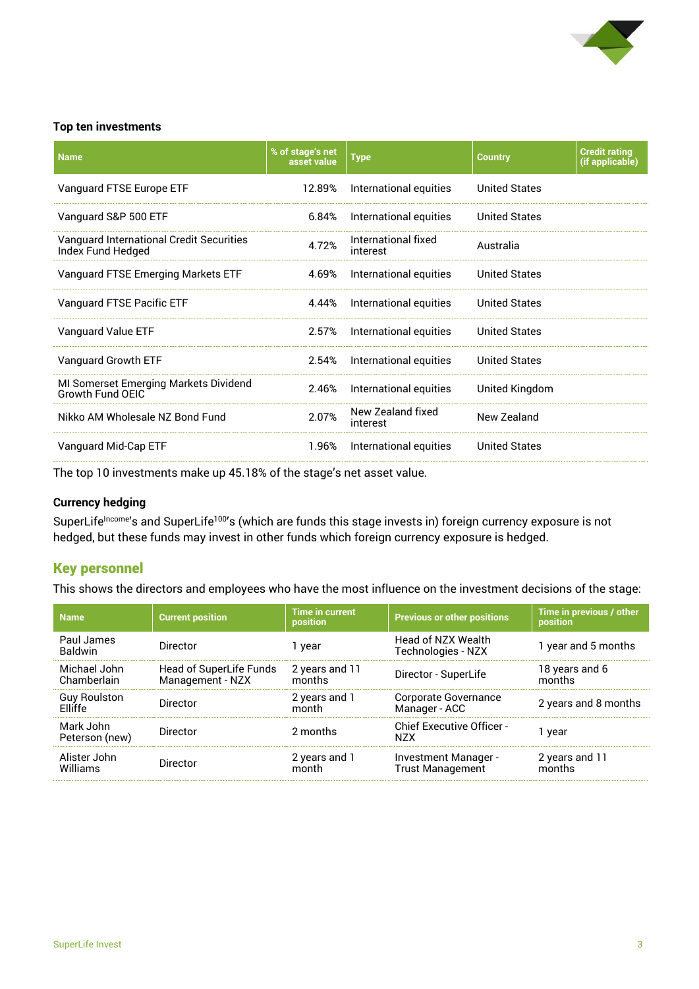

#### **Top ten investments**

| <b>Name</b>                                                      | % of stage's net<br>asset value | <b>Type</b>                     | <b>Country</b>       | <b>Credit rating</b><br>(if applicable) |
|------------------------------------------------------------------|---------------------------------|---------------------------------|----------------------|-----------------------------------------|
| Vanguard FTSE Europe ETF                                         | 12.89%                          | International equities          | <b>United States</b> |                                         |
| Vanguard S&P 500 ETF                                             | 6.84%                           | International equities          | <b>United States</b> |                                         |
| Vanguard International Credit Securities<br>Index Fund Hedged    | 4.72%                           | International fixed<br>interest | Australia            |                                         |
| Vanguard FTSE Emerging Markets ETF                               | 4.69%                           | International equities          | <b>United States</b> |                                         |
| Vanguard FTSE Pacific ETF                                        | 4.44%                           | International equities          | <b>United States</b> |                                         |
| Vanguard Value ETF                                               | 2.57%                           | International equities          | <b>United States</b> |                                         |
| Vanguard Growth ETF                                              | 2.54%                           | International equities          | <b>United States</b> |                                         |
| MI Somerset Emerging Markets Dividend<br><b>Growth Fund OEIC</b> | 2.46%                           | International equities          | United Kingdom       |                                         |
| Nikko AM Wholesale NZ Bond Fund                                  | 2.07%                           | New Zealand fixed<br>interest   | New Zealand          |                                         |
| Vanguard Mid-Cap ETF                                             | 1.96%                           | International equities          | <b>United States</b> |                                         |

The top 10 investments make up 45.18% of the stage's net asset value.

#### **Currency hedging**

SuperLife<sup>Income</sup>'s and SuperLife<sup>100</sup>'s (which are funds this stage invests in) foreign currency exposure is not hedged, but these funds may invest in other funds which foreign currency exposure is hedged.

#### Key personnel

This shows the directors and employees who have the most influence on the investment decisions of the stage:

| <b>Name</b>                           | <b>Current position</b>                     | <b>Time in current</b><br>position | <b>Previous or other positions</b>              | Time in previous / other<br>position |
|---------------------------------------|---------------------------------------------|------------------------------------|-------------------------------------------------|--------------------------------------|
| Paul James<br><b>Baldwin</b>          | Director                                    | 1 year                             | Head of NZX Wealth<br>Technologies - NZX        | 1 year and 5 months                  |
| Michael John<br>Chamberlain           | Head of SuperLife Funds<br>Management - NZX | 2 years and 11<br>months           | Director - SuperLife                            | 18 years and 6<br>months             |
| <b>Guy Roulston</b><br><b>Flliffe</b> | Director                                    | 2 years and 1<br>month             | Corporate Governance<br>Manager - ACC           | 2 years and 8 months                 |
| Mark John<br>Peterson (new)           | <b>Director</b>                             | 2 months                           | <b>Chief Executive Officer -</b><br><b>NZX</b>  | 1 year                               |
| Alister John<br>Williams              | Director                                    | 2 years and 1<br>month             | Investment Manager -<br><b>Trust Management</b> | 2 years and 11<br>months             |